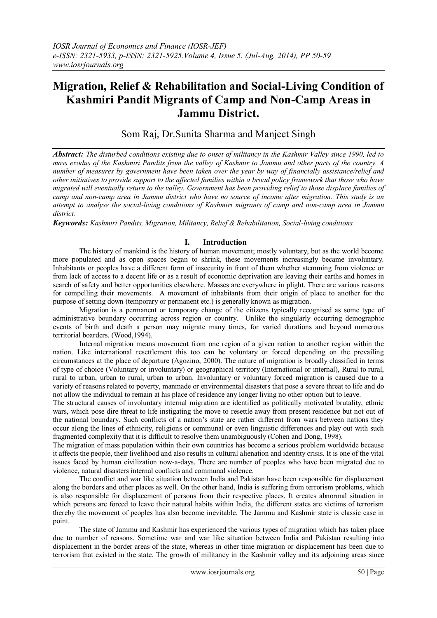# **Migration, Relief & Rehabilitation and Social-Living Condition of Kashmiri Pandit Migrants of Camp and Non-Camp Areas in Jammu District.**

Som Raj, Dr.Sunita Sharma and Manjeet Singh

*Abstract: The disturbed conditions existing due to onset of militancy in the Kashmir Valley since 1990, led to mass exodus of the Kashmiri Pandits from the valley of Kashmir to Jammu and other parts of the country. A number of measures by government have been taken over the year by way of financially assistance/relief and other initiatives to provide support to the affected families within a broad policy framework that those who have migrated will eventually return to the valley. Government has been providing relief to those displace families of camp and non-camp area in Jammu district who have no source of income after migration. This study is an attempt to analyse the social-living conditions of Kashmiri migrants of camp and non-camp area in Jammu district.*

*Keywords: Kashmiri Pandits, Migration, Militancy, Relief & Rehabilitation, Social-living conditions.*

## **I. Introduction**

The history of mankind is the history of human movement; mostly voluntary, but as the world become more populated and as open spaces began to shrink, these movements increasingly became involuntary. Inhabitants or peoples have a different form of insecurity in front of them whether stemming from violence or from lack of access to a decent life or as a result of economic deprivation are leaving their earths and homes in search of safety and better opportunities elsewhere. Masses are everywhere in plight. There are various reasons for compelling their movements. A movement of inhabitants from their origin of place to another for the purpose of setting down (temporary or permanent etc.) is generally known as migration.

Migration is a permanent or temporary change of the citizens typically recognised as some type of administrative boundary occurring across region or country. Unlike the singularly occurring demographic events of birth and death a person may migrate many times, for varied durations and beyond numerous territorial boarders. (Wood,1994).

Internal migration means movement from one region of a given nation to another region within the nation. Like international resettlement this too can be voluntary or forced depending on the prevailing circumstances at the place of departure (Agozino, 2000). The nature of migration is broadly classified in terms of type of choice (Voluntary or involuntary) or geographical territory (International or internal), Rural to rural, rural to urban, urban to rural, urban to urban. Involuntary or voluntary forced migration is caused due to a variety of reasons related to poverty, manmade or environmental disasters that pose a severe threat to life and do not allow the individual to remain at his place of residence any longer living no other option but to leave.

The structural causes of involuntary internal migration are identified as politically motivated brutality, ethnic wars, which pose dire threat to life instigating the move to resettle away from present residence but not out of the national boundary. Such conflicts of a nation"s state are rather different from wars between nations they occur along the lines of ethnicity, religions or communal or even linguistic differences and play out with such fragmented complexity that it is difficult to resolve them unambiguously (Cohen and Dong, 1998).

The migration of mass population within their own countries has become a serious problem worldwide because it affects the people, their livelihood and also results in cultural alienation and identity crisis. It is one of the vital issues faced by human civilization now-a-days. There are number of peoples who have been migrated due to violence, natural disasters internal conflicts and communal violence.

The conflict and war like situation between India and Pakistan have been responsible for displacement along the borders and other places as well. On the other hand, India is suffering from terrorism problems, which is also responsible for displacement of persons from their respective places. It creates abnormal situation in which persons are forced to leave their natural habits within India, the different states are victims of terrorism thereby the movement of peoples has also become inevitable. The Jammu and Kashmir state is classic case in point.

The state of Jammu and Kashmir has experienced the various types of migration which has taken place due to number of reasons. Sometime war and war like situation between India and Pakistan resulting into displacement in the border areas of the state, whereas in other time migration or displacement has been due to terrorism that existed in the state. The growth of militancy in the Kashmir valley and its adjoining areas since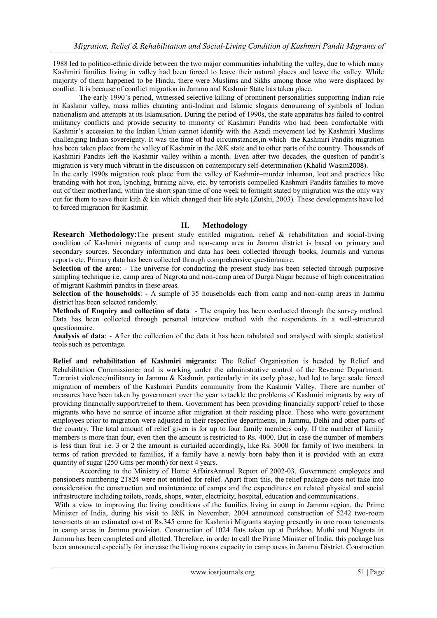1988 led to politico-ethnic divide between the two major communities inhabiting the valley, due to which many Kashmiri families living in valley had been forced to leave their natural places and leave the valley. While majority of them happened to be Hindu, there were Muslims and Sikhs among those who were displaced by conflict. It is because of conflict migration in Jammu and Kashmir State has taken place.

The early 1990"s period, witnessed selective killing of prominent personalities supporting Indian rule in Kashmir valley, mass rallies chanting anti-Indian and Islamic slogans denouncing of symbols of Indian nationalism and attempts at its Islamisation. During the period of 1990s, the state apparatus has failed to control militancy conflicts and provide security to minority of Kashmiri Pandits who had been comfortable with Kashmir"s accession to the Indian Union cannot identify with the Azadi movement led by Kashmiri Muslims challenging Indian sovereignty. It was the time of bad circumstances,in which the Kashmiri Pandits migration has been taken place from the valley of Kashmir in the J&K state and to other parts of the country. Thousands of Kashmiri Pandits left the Kashmir valley within a month. Even after two decades, the question of pandit"s migration is very much vibrant in the discussion on contemporary self-determination (Khalid Wasim2008).

In the early 1990s migration took place from the valley of Kashmir–murder inhuman, loot and practices like branding with hot iron, lynching, burning alive, etc. by terrorists compelled Kashmiri Pandits families to move out of their motherland, within the short span time of one week to fornight stated by migration was the only way out for them to save their kith  $\&$  kin which changed their life style (Zutshi, 2003). These developments have led to forced migration for Kashmir.

#### **II. Methodology**

**Research Methodology**: The present study entitled migration, relief & rehabilitation and social-living condition of Kashmiri migrants of camp and non-camp area in Jammu district is based on primary and secondary sources. Secondary information and data has been collected through books, Journals and various reports etc. Primary data has been collected through comprehensive questionnaire.

**Selection of the area**: - The universe for conducting the present study has been selected through purposive sampling technique i.e. camp area of Nagrota and non-camp area of Durga Nagar because of high concentration of migrant Kashmiri pandits in these areas.

**Selection of the households**: - A sample of 35 households each from camp and non-camp areas in Jammu district has been selected randomly.

**Methods of Enquiry and collection of data:** - The enquiry has been conducted through the survey method. Data has been collected through personal interview method with the respondents in a well-structured questionnaire.

**Analysis of data**: - After the collection of the data it has been tabulated and analysed with simple statistical tools such as percentage.

**Relief and rehabilitation of Kashmiri migrants:** The Relief Organisation is headed by Relief and Rehabilitation Commissioner and is working under the administrative control of the Revenue Department. Terrorist violence/militancy in Jammu & Kashmir, particularly in its early phase, had led to large scale forced migration of members of the Kashmiri Pandits community from the Kashmir Valley. There are number of measures have been taken by government over the year to tackle the problems of Kashmiri migrants by way of providing financially support/relief to them. Government has been providing financially support/ relief to those migrants who have no source of income after migration at their residing place. Those who were government employees prior to migration were adjusted in their respective departments, in Jammu, Delhi and other parts of the country. The total amount of relief given is for up to four family members only. If the number of family members is more than four, even then the amount is restricted to Rs. 4000. But in case the number of members is less than four i.e. 3 or 2 the amount is curtailed accordingly, like Rs. 3000 for family of two members. In terms of ration provided to families, if a family have a newly born baby then it is provided with an extra quantity of sugar (250 Gms per month) for next 4 years.

According to the Ministry of Home AffairsAnnual Report of 2002-03, Government employees and pensioners numbering 21824 were not entitled for relief. Apart from this, the relief package does not take into consideration the construction and maintenance of camps and the expenditures on related physical and social infrastructure including toilets, roads, shops, water, electricity, hospital, education and communications.

With a view to improving the living conditions of the families living in camp in Jammu region, the Prime Minister of India, during his visit to J&K in November, 2004 announced construction of 5242 two-room tenements at an estimated cost of Rs.345 crore for Kashmiri Migrants staying presently in one room tenements in camp areas in Jammu provision. Construction of 1024 flats taken up at Purkhoo, Muthi and Nagrota in Jammu has been completed and allotted. Therefore, in order to call the Prime Minister of India, this package has been announced especially for increase the living rooms capacity in camp areas in Jammu District. Construction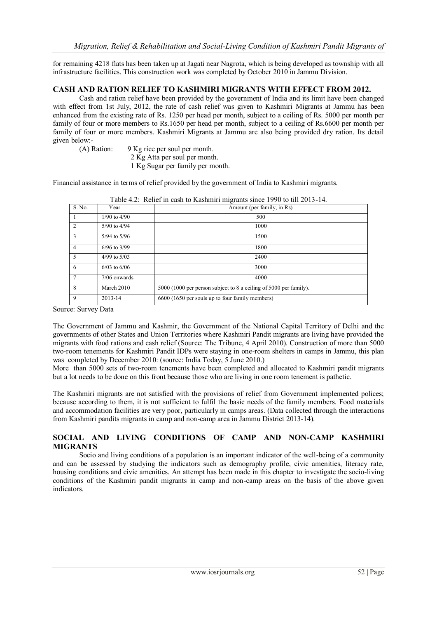for remaining 4218 flats has been taken up at Jagati near Nagrota, which is being developed as township with all infrastructure facilities. This construction work was completed by October 2010 in Jammu Division.

#### **CASH AND RATION RELIEF TO KASHMIRI MIGRANTS WITH EFFECT FROM 2012.**

Cash and ration relief have been provided by the government of India and its limit have been changed with effect from 1st July, 2012, the rate of cash relief was given to Kashmiri Migrants at Jammu has been enhanced from the existing rate of Rs. 1250 per head per month, subject to a ceiling of Rs. 5000 per month per family of four or more members to Rs.1650 per head per month, subject to a ceiling of Rs.6600 per month per family of four or more members. Kashmiri Migrants at Jammu are also being provided dry ration. Its detail given below:-

- (A) Ration: 9 Kg rice per soul per month.
	- 2 Kg Atta per soul per month.
	- 1 Kg Sugar per family per month.

Financial assistance in terms of relief provided by the government of India to Kashmiri migrants.

| S. No.         | Year             | Table $\pi$ . A Kenet in easil to Kashmin migrants since 1770 to the 2015-14.<br>Amount (per family, in Rs) |  |  |  |
|----------------|------------------|-------------------------------------------------------------------------------------------------------------|--|--|--|
|                | $1/90$ to $4/90$ | 500                                                                                                         |  |  |  |
| $\overline{2}$ | 5/90 to 4/94     | 1000                                                                                                        |  |  |  |
| 3              | $5/94$ to $5/96$ | 1500                                                                                                        |  |  |  |
| $\overline{4}$ | $6/96$ to 3/99   | 1800                                                                                                        |  |  |  |
| $\overline{5}$ | 4/99 to $5/03$   | 2400                                                                                                        |  |  |  |
| 6              | $6/03$ to $6/06$ | 3000                                                                                                        |  |  |  |
| $\tau$         | $7/06$ onwards   | 4000                                                                                                        |  |  |  |
| 8              | March 2010       | 5000 (1000 per person subject to 8 a ceiling of 5000 per family).                                           |  |  |  |
| 9              | 2013-14          | 6600 (1650 per souls up to four family members)                                                             |  |  |  |

Table 4.2: Relief in cash to Kashmiri migrants since 1990 to till 2013-14.

Source: Survey Data

The Government of Jammu and Kashmir, the Government of the National Capital Territory of Delhi and the governments of other States and Union Territories where Kashmiri Pandit migrants are living have provided the migrants with food rations and cash relief (Source: The Tribune, 4 April 2010). Construction of more than 5000 two-room tenements for Kashmiri Pandit IDPs were staying in one-room shelters in camps in Jammu, this plan was completed by December 2010: (source: India Today, 5 June 2010.)

More than 5000 sets of two-room tenements have been completed and allocated to Kashmiri pandit migrants but a lot needs to be done on this front because those who are living in one room tenement is pathetic.

The Kashmiri migrants are not satisfied with the provisions of relief from Government implemented polices; because according to them, it is not sufficient to fulfil the basic needs of the family members. Food materials and accommodation facilities are very poor, particularly in camps areas. (Data collected through the interactions from Kashmiri pandits migrants in camp and non-camp area in Jammu District 2013-14).

## **SOCIAL AND LIVING CONDITIONS OF CAMP AND NON-CAMP KASHMIRI MIGRANTS**

Socio and living conditions of a population is an important indicator of the well-being of a community and can be assessed by studying the indicators such as demography profile, civic amenities, literacy rate, housing conditions and civic amenities. An attempt has been made in this chapter to investigate the socio-living conditions of the Kashmiri pandit migrants in camp and non-camp areas on the basis of the above given indicators.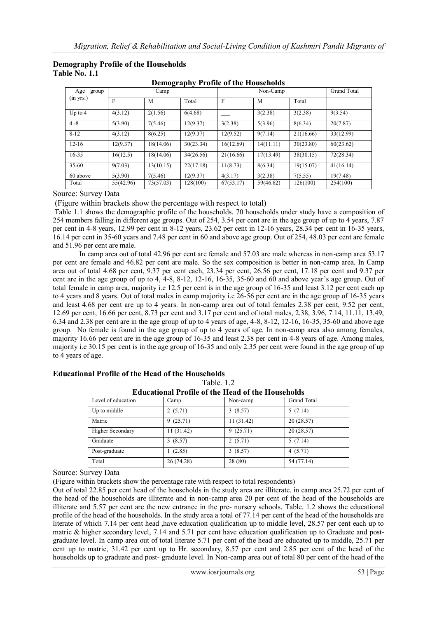| Age<br>group | Camp      |           |           | Non-Camp     |           |           | Grand Total |
|--------------|-----------|-----------|-----------|--------------|-----------|-----------|-------------|
| (in yrs.)    | F         | M         | Total     | $\mathbf{F}$ | M         | Total     |             |
| Up to $4$    | 4(3.12)   | 2(1.56)   | 6(4.68)   |              | 3(2.38)   | 3(2.38)   | 9(3.54)     |
| $4-8$        | 5(3.90)   | 7(5.46)   | 12(9.37)  | 3(2.38)      | 5(3.96)   | 8(6.34)   | 20(7.87)    |
| $8 - 12$     | 4(3.12)   | 8(6.25)   | 12(9.37)  | 12(9.52)     | 9(7.14)   | 21(16.66) | 33(12.99)   |
| $12 - 16$    | 12(9.37)  | 18(14.06) | 30(23.34) | 16(12.69)    | 14(11.11) | 30(23.80) | 60(23.62)   |
| $16 - 35$    | 16(12.5)  | 18(14.06) | 34(26.56) | 21(16.66)    | 17(13.49) | 38(30.15) | 72(28.34)   |
| $35 - 60$    | 9(7.03)   | 13(10.15) | 22(17.18) | 11(8.73)     | 8(6.34)   | 19(15.07) | 41(16.14)   |
| 60 above     | 5(3.90)   | 7(5.46)   | 12(9.37)  | 4(3.17)      | 3(2.38)   | 7(5.55)   | 19(7.48)    |
| Total        | 55(42.96) | 73(57.03) | 128(100)  | 67(53.17)    | 59(46.82) | 126(100)  | 254(100)    |

**Demography Profile of the Households**

#### **Demography Profile of the Households Table No. 1.1**

Source: Survey Data

(Figure within brackets show the percentage with respect to total)

Table 1.1 shows the demographic profile of the households. 70 households under study have a composition of 254 members falling in different age groups. Out of 254, 3.54 per cent are in the age group of up to 4 years, 7.87 per cent in 4-8 years, 12.99 per cent in 8-12 years, 23.62 per cent in 12-16 years, 28.34 per cent in 16-35 years, 16.14 per cent in 35-60 years and 7.48 per cent in 60 and above age group. Out of 254, 48.03 per cent are female and 51.96 per cent are male.

In camp area out of total 42.96 per cent are female and 57.03 are male whereas in non-camp area 53.17 per cent are female and 46.82 per cent are male. So the sex composition is better in non-camp area. In Camp area out of total 4.68 per cent, 9.37 per cent each, 23.34 per cent, 26.56 per cent, 17.18 per cent and 9.37 per cent are in the age group of up to 4, 4-8, 8-12, 12-16, 16-35, 35-60 and 60 and above year"s age group. Out of total female in camp area, majority i.e 12.5 per cent is in the age group of 16-35 and least 3.12 per cent each up to 4 years and 8 years. Out of total males in camp majority i.e 26-56 per cent are in the age group of 16-35 years and least 4.68 per cent are up to 4 years. In non-camp area out of total females 2.38 per cent, 9.52 per cent, 12.69 per cent, 16.66 per cent, 8.73 per cent and 3.17 per cent and of total males, 2.38, 3.96, 7.14, 11.11, 13.49, 6.34 and 2.38 per cent are in the age group of up to 4 years of age, 4-8, 8-12, 12-16, 16-35, 35-60 and above age group. No female is found in the age group of up to 4 years of age. In non-camp area also among females, majority 16.66 per cent are in the age group of 16-35 and least 2.38 per cent in 4-8 years of age. Among males, majority i.e 30.15 per cent is in the age group of 16-35 and only 2.35 per cent were found in the age group of up to 4 years of age.

| 1401 - 14                                                |           |           |             |  |  |
|----------------------------------------------------------|-----------|-----------|-------------|--|--|
| <b>Educational Profile of the Head of the Households</b> |           |           |             |  |  |
| Level of education                                       | Camp      | Non-camp  | Grand Total |  |  |
| Up to middle                                             | 2(5.71)   | 3(8.57)   | 5(7.14)     |  |  |
| Matric                                                   | 9(25.71)  | 11(31.42) | 20(28.57)   |  |  |
| Higher Secondary                                         | 11(31.42) | 9(25.71)  | 20(28.57)   |  |  |
| Graduate                                                 | 3(8.57)   | 2(5.71)   | 5(7.14)     |  |  |
| Post-graduate                                            | (2.85)    | 3(8.57)   | 4(5.71)     |  |  |
| Total                                                    | 26(74.28) | 28(80)    | 54 (77.14)  |  |  |

## **Educational Profile of the Head of the Households**

Table 1.2

Source: Survey Data

(Figure within brackets show the percentage rate with respect to total respondents)

Out of total 22.85 per cent head of the households in the study area are illiterate. in camp area 25.72 per cent of the head of the households are illiterate and in non-camp area 20 per cent of the head of the households are illiterate and 5.57 per cent are the new entrance in the pre- nursery schools. Table. 1.2 shows the educational profile of the head of the households. In the study area a total of 77.14 per cent of the head of the households are literate of which 7.14 per cent head ,have education qualification up to middle level, 28.57 per cent each up to matric & higher secondary level, 7.14 and 5.71 per cent have education qualification up to Graduate and postgraduate level. In camp area out of total literate 5.71 per cent of the head are educated up to middle, 25.71 per cent up to matric, 31.42 per cent up to Hr. secondary, 8.57 per cent and 2.85 per cent of the head of the households up to graduate and post- graduate level. In Non-camp area out of total 80 per cent of the head of the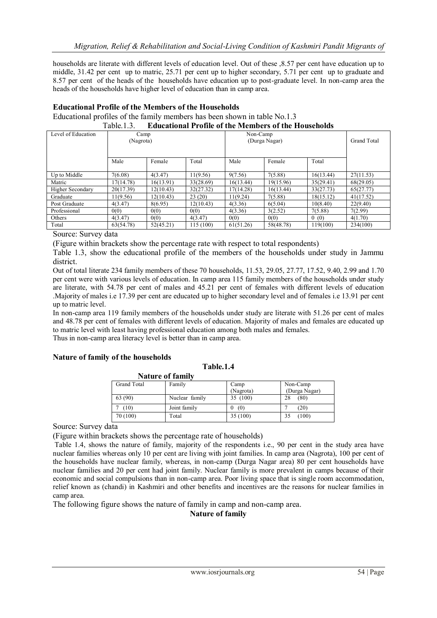households are literate with different levels of education level. Out of these ,8.57 per cent have education up to middle, 31.42 per cent up to matric, 25.71 per cent up to higher secondary, 5.71 per cent up to graduate and 8.57 per cent of the heads of the households have education up to post-graduate level. In non-camp area the heads of the households have higher level of education than in camp area.

| Table $1.3$ .<br><b>Educational Profile of the Members of the Households</b> |           |           |           |           |               |           |             |
|------------------------------------------------------------------------------|-----------|-----------|-----------|-----------|---------------|-----------|-------------|
| Level of Education                                                           | Camp      |           |           | Non-Camp  |               |           |             |
|                                                                              | (Nagrota) |           |           |           | (Durga Nagar) |           | Grand Total |
|                                                                              |           |           |           |           |               |           |             |
|                                                                              | Male      | Female    | Total     | Male      | Female        | Total     |             |
| Up to Middle                                                                 | 7(6.08)   | 4(3.47)   | 11(9.56)  | 9(7.56)   | 7(5.88)       | 16(13.44) | 27(11.53)   |
| Matric                                                                       | 17(14.78) | 16(13.91) | 33(28.69) | 16(13.44) | 19(15.96)     | 35(29.41) | 68(29.05)   |
| Higher Secondary                                                             | 20(17.39) | 12(10.43) | 32(27.32) | 17(14.28) | 16(13.44)     | 33(27.73) | 65(27.77)   |
| Graduate                                                                     | 11(9.56)  | 12(10.43) | 23(20)    | 11(9.24)  | 7(5.88)       | 18(15.12) | 41(17.52)   |
| Post Graduate                                                                | 4(3.47)   | 8(6.95)   | 12(10.43) | 4(3.36)   | 6(5.04)       | 10(8.40)  | 22(9.40)    |
| Professional                                                                 | 0(0)      | 0(0)      | 0(0)      | 4(3.36)   | 3(2.52)       | 7(5.88)   | 7(2.99)     |
| Others                                                                       | 4(3.47)   | 0(0)      | 4(3.47)   | 0(0)      | 0(0)          | 0(0)      | 4(1.70)     |
| Total                                                                        | 63(54.78) | 52(45.21) | 115 (100) | 61(51.26) | 58(48.78)     | 119(100)  | 234(100)    |

## **Educational Profile of the Members of the Households** Educational profiles of the family members has been shown in table No.1.3

Source: Survey data

(Figure within brackets show the percentage rate with respect to total respondents)

Table 1.3, show the educational profile of the members of the households under study in Jammu district.

Out of total literate 234 family members of these 70 households, 11.53, 29.05, 27.77, 17.52, 9.40, 2.99 and 1.70 per cent were with various levels of education. In camp area 115 family members of the households under study are literate, with 54.78 per cent of males and 45.21 per cent of females with different levels of education .Majority of males i.e 17.39 per cent are educated up to higher secondary level and of females i.e 13.91 per cent up to matric level.

In non-camp area 119 family members of the households under study are literate with 51.26 per cent of males and 48.78 per cent of females with different levels of education. Majority of males and females are educated up to matric level with least having professional education among both males and females. Thus in non-camp area literacy level is better than in camp area.

#### **Nature of family of the households**

|             | <b>Nature of family</b> |           |               |
|-------------|-------------------------|-----------|---------------|
| Grand Total | Family                  | Camp      | Non-Camp      |
|             |                         | (Nagrota) | (Durga Nagar) |
| 63 (90)     | Nuclear family          | 35 (100)  | (80)          |
| (10)        | Joint family            | (0)       | (20)          |
| 70 (100)    | Total                   | 35(100)   | (100)         |

Source: Survey data

(Figure within brackets shows the percentage rate of households)

Table 1.4, shows the nature of family, majority of the respondents i.e., 90 per cent in the study area have nuclear families whereas only 10 per cent are living with joint families. In camp area (Nagrota), 100 per cent of the households have nuclear family, whereas, in non-camp (Durga Nagar area) 80 per cent households have nuclear families and 20 per cent had joint family. Nuclear family is more prevalent in camps because of their economic and social compulsions than in non-camp area. Poor living space that is single room accommodation, relief known as (chandi) in Kashmiri and other benefits and incentives are the reasons for nuclear families in camp area.

The following figure shows the nature of family in camp and non-camp area.

**Nature of family**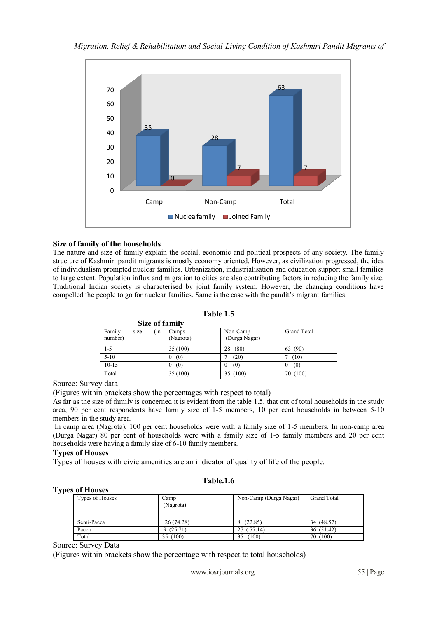

## **Size of family of the households**

The nature and size of family explain the social, economic and political prospects of any society. The family structure of Kashmiri pandit migrants is mostly economy oriented. However, as civilization progressed, the idea of individualism prompted nuclear families. Urbanization, industrialisation and education support small families to large extent. Population influx and migration to cities are also contributing factors in reducing the family size. Traditional Indian society is characterised by joint family system. However, the changing conditions have compelled the people to go for nuclear families. Same is the case with the pandit"s migrant families.

## **Table 1.5**

| Size of family                   |                     |                           |                 |
|----------------------------------|---------------------|---------------------------|-----------------|
| Family<br>(in<br>size<br>number) | Camps<br>(Nagrota)  | Non-Camp<br>(Durga Nagar) | Grand Total     |
| $1 - 5$                          | 35(100)             | (80)<br>28                | 63 (90)         |
| $5-10$                           | (0)<br>0            | (20)                      | (10)            |
| $10-15$                          | (0)<br>$\mathbf{0}$ | (0)<br>$\theta$           | (0)<br>$\bf{0}$ |
| Total                            | 35 (100)            | 35 (100)                  | 70 (100)        |

Source: Survey data

(Figures within brackets show the percentages with respect to total)

As far as the size of family is concerned it is evident from the table 1.5, that out of total households in the study area, 90 per cent respondents have family size of 1-5 members, 10 per cent households in between 5-10 members in the study area.

In camp area (Nagrota), 100 per cent households were with a family size of 1-5 members. In non-camp area (Durga Nagar) 80 per cent of households were with a family size of 1-5 family members and 20 per cent households were having a family size of 6-10 family members.

#### **Types of Houses**

Types of houses with civic amenities are an indicator of quality of life of the people.

#### **Table.1.6**

#### **Types of Houses**

| Types of Houses | Camp<br>(Nagrota) | Non-Camp (Durga Nagar) | Grand Total |
|-----------------|-------------------|------------------------|-------------|
| Semi-Pacca      | 26(74.28)         | (22.85)                | 34 (48.57)  |
| Pacca           | 9(25.71)          | 77.14)                 | 36 (51.42)  |
| Total           | (100)<br>35       | (100)<br>35            | 70 (100)    |

Source: Survey Data

(Figures within brackets show the percentage with respect to total households)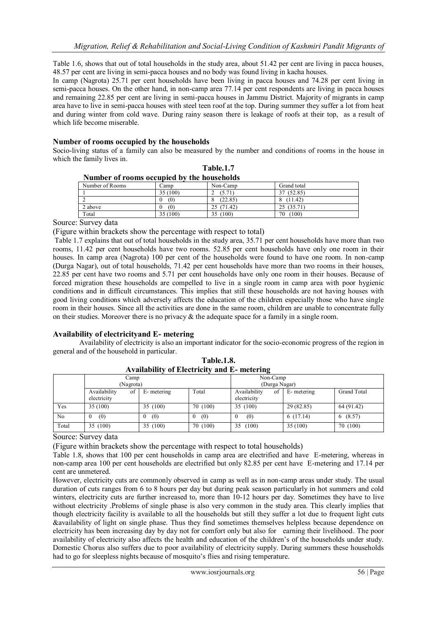Table 1.6, shows that out of total households in the study area, about 51.42 per cent are living in pacca houses, 48.57 per cent are living in semi-pacca houses and no body was found living in kacha houses.

In camp (Nagrota) 25.71 per cent households have been living in pacca houses and 74.28 per cent living in semi-pacca houses. On the other hand, in non-camp area 77.14 per cent respondents are living in pacca houses and remaining 22.85 per cent are living in semi-pacca houses in Jammu District. Majority of migrants in camp area have to live in semi-pacca houses with steel teen roof at the top. During summer they suffer a lot from heat and during winter from cold wave. During rainy season there is leakage of roofs at their top, as a result of which life become miserable.

#### **Number of rooms occupied by the households**

Socio-living status of a family can also be measured by the number and conditions of rooms in the house in which the family lives in.

|                 | Number of rooms occupied by the households |            |             |  |  |  |  |
|-----------------|--------------------------------------------|------------|-------------|--|--|--|--|
| Number of Rooms | ∴amp                                       | Non-Camp   | Grand total |  |  |  |  |
|                 | 35 (100)                                   | (5.71      | 37 (52.85)  |  |  |  |  |
|                 | (0)                                        | (22.85)    | (11.42)     |  |  |  |  |
| 2 above         | (0)                                        | 25 (71.42) | 25 (35.71)  |  |  |  |  |
| Total           | 35 (100)                                   | 35 (100)   | (100)<br>70 |  |  |  |  |

|                                           |  | Table.1.7 |
|-------------------------------------------|--|-----------|
| Number of rooms occupied by the household |  |           |

Source: Survey data

(Figure within brackets show the percentage with respect to total)

Table 1.7 explains that out of total households in the study area, 35.71 per cent households have more than two rooms, 11.42 per cent households have two rooms. 52.85 per cent households have only one room in their houses. In camp area (Nagrota) 100 per cent of the households were found to have one room. In non-camp (Durga Nagar), out of total households, 71.42 per cent households have more than two rooms in their houses, 22.85 per cent have two rooms and 5.71 per cent households have only one room in their houses. Because of forced migration these households are compelled to live in a single room in camp area with poor hygienic conditions and in difficult circumstances. This implies that still these households are not having houses with good living conditions which adversely affects the education of the children especially those who have single room in their houses. Since all the activities are done in the same room, children are unable to concentrate fully on their studies. Moreover there is no privacy  $\&$  the adequate space for a family in a single room.

#### **Availability of electricityand E- metering**

Availability of electricity is also an important indicator for the socio-economic progress of the region in general and of the household in particular.

|       | Camp<br>(Nagrota)                 |             |          | Non-Camp<br>(Durga Nagar)         |             |                    |
|-------|-----------------------------------|-------------|----------|-----------------------------------|-------------|--------------------|
|       | Availability<br>of<br>electricity | E- metering | Total    | Availability<br>of<br>electricity | E- metering | <b>Grand Total</b> |
| Yes   | 35(100)                           | 35 (100)    | 70 (100) | 35 (100)                          | 29 (82.85)  | 64 (91.42)         |
| No    | (0)<br>$\bf{0}$                   | (0)         | (0)      | (0)                               | 6(17.14)    | 6(8.57)            |
| Total | 35 (100)                          | 35 (100)    | 70 (100) | (100)<br>35                       | 35(100)     | 70 (100)           |

**Table.1.8. Availability of Electricity and E- metering**

Source: Survey data

(Figure within brackets show the percentage with respect to total households)

Table 1.8, shows that 100 per cent households in camp area are electrified and have E-metering, whereas in non-camp area 100 per cent households are electrified but only 82.85 per cent have E-metering and 17.14 per cent are unmetered.

However, electricity cuts are commonly observed in camp as well as in non-camp areas under study. The usual duration of cuts ranges from 6 to 8 hours per day but during peak season particularly in hot summers and cold winters, electricity cuts are further increased to, more than 10-12 hours per day. Sometimes they have to live without electricity .Problems of single phase is also very common in the study area. This clearly implies that though electricity facility is available to all the households but still they suffer a lot due to frequent light cuts &availability of light on single phase. Thus they find sometimes themselves helpless because dependence on electricity has been increasing day by day not for comfort only but also for earning their livelihood. The poor availability of electricity also affects the health and education of the children"s of the households under study. Domestic Chorus also suffers due to poor availability of electricity supply. During summers these households had to go for sleepless nights because of mosquito's flies and rising temperature.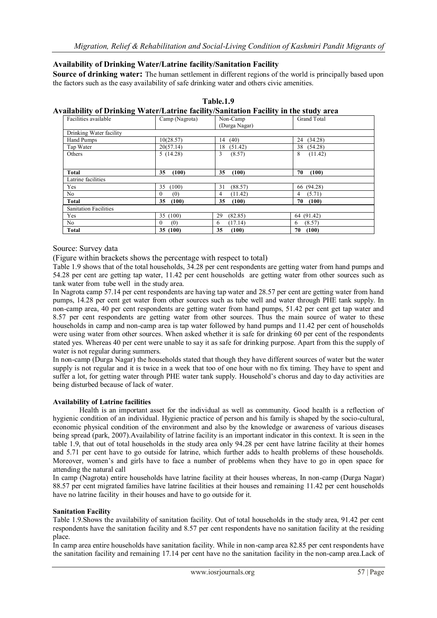## **Availability of Drinking Water/Latrine facility/Sanitation Facility**

**Source of drinking water:** The human settlement in different regions of the world is principally based upon the factors such as the easy availability of safe drinking water and others civic amenities.

| Facilities available         | vanability of Driliking water/Latrine facinty/Saintation Facinty in the study area<br>Camp (Nagrota) | Non-Camp      | <b>Grand Total</b> |
|------------------------------|------------------------------------------------------------------------------------------------------|---------------|--------------------|
|                              |                                                                                                      | (Durga Nagar) |                    |
| Drinking Water facility      |                                                                                                      |               |                    |
| Hand Pumps                   | 10(28.57)                                                                                            | (40)<br>14    | 24 (34.28)         |
| Tap Water                    | 20(57.14)                                                                                            | (51.42)<br>18 | 38 (54.28)         |
| Others                       | 5(14.28)                                                                                             | 3<br>(8.57)   | 8<br>(11.42)       |
| <b>Total</b>                 | (100)<br>35                                                                                          | (100)<br>35   | 70<br>(100)        |
| Latrine facilities           |                                                                                                      |               |                    |
| Yes                          | (100)<br>35                                                                                          | 31<br>(88.57) | 66 (94.28)         |
| No                           | 0<br>(0)                                                                                             | (11.42)<br>4  | (5.71)<br>4        |
| Total                        | 35<br>(100)                                                                                          | 35<br>(100)   | 70<br>(100)        |
| <b>Sanitation Facilities</b> |                                                                                                      |               |                    |
| Yes                          | 35 (100)                                                                                             | (82.85)<br>29 | 64 (91.42)         |
| No                           | $\Omega$<br>(0)                                                                                      | (17.14)<br>6  | (8.57)<br>6        |
| <b>Total</b>                 | 35(100)                                                                                              | 35<br>(100)   | 70<br>(100)        |

#### **Table.1.9 Availability of Drinking Water/Latrine facility/Sanitation Facility in the study area**

## Source: Survey data

(Figure within brackets shows the percentage with respect to total)

Table 1.9 shows that of the total households, 34.28 per cent respondents are getting water from hand pumps and 54.28 per cent are getting tap water, 11.42 per cent households are getting water from other sources such as tank water from tube well in the study area.

In Nagrota camp 57.14 per cent respondents are having tap water and 28.57 per cent are getting water from hand pumps, 14.28 per cent get water from other sources such as tube well and water through PHE tank supply. In non-camp area, 40 per cent respondents are getting water from hand pumps, 51.42 per cent get tap water and 8.57 per cent respondents are getting water from other sources. Thus the main source of water to these households in camp and non-camp area is tap water followed by hand pumps and 11.42 per cent of households were using water from other sources. When asked whether it is safe for drinking 60 per cent of the respondents stated yes. Whereas 40 per cent were unable to say it as safe for drinking purpose. Apart from this the supply of water is not regular during summers.

In non-camp (Durga Nagar) the households stated that though they have different sources of water but the water supply is not regular and it is twice in a week that too of one hour with no fix timing. They have to spent and suffer a lot, for getting water through PHE water tank supply. Household"s chorus and day to day activities are being disturbed because of lack of water.

#### **Availability of Latrine facilities**

Health is an important asset for the individual as well as community. Good health is a reflection of hygienic condition of an individual. Hygienic practice of person and his family is shaped by the socio-cultural, economic physical condition of the environment and also by the knowledge or awareness of various diseases being spread (park, 2007).Availability of latrine facility is an important indicator in this context. It is seen in the table 1.9, that out of total households in the study area only 94.28 per cent have latrine facility at their homes and 5.71 per cent have to go outside for latrine, which further adds to health problems of these households. Moreover, women"s and girls have to face a number of problems when they have to go in open space for attending the natural call

In camp (Nagrota) entire households have latrine facility at their houses whereas, In non-camp (Durga Nagar) 88.57 per cent migrated families have latrine facilities at their houses and remaining 11.42 per cent households have no latrine facility in their houses and have to go outside for it.

#### **Sanitation Facility**

Table 1.9.Shows the availability of sanitation facility. Out of total households in the study area, 91.42 per cent respondents have the sanitation facility and 8.57 per cent respondents have no sanitation facility at the residing place.

In camp area entire households have sanitation facility. While in non-camp area 82.85 per cent respondents have the sanitation facility and remaining 17.14 per cent have no the sanitation facility in the non-camp area.Lack of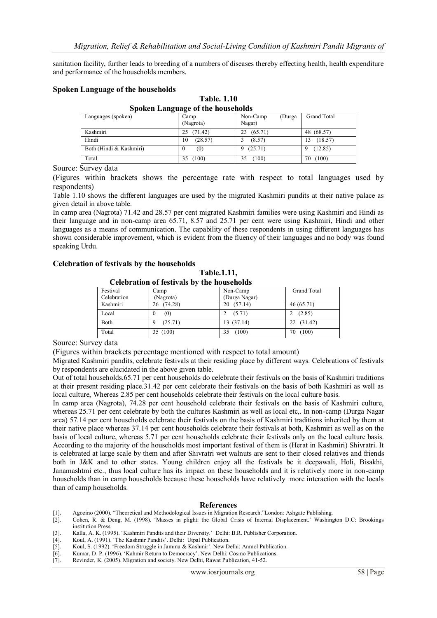sanitation facility, further leads to breeding of a numbers of diseases thereby effecting health, health expenditure and performance of the households members.

#### **Spoken Language of the households**

**Table. 1.10 Spoken Language of the households**

| 0<br>Languages (spoken) | -<br>Camp<br>(Nagrota) | Non-Camp<br>(Durga<br>Nagar) | Grand Total  |
|-------------------------|------------------------|------------------------------|--------------|
| Kashmiri                | (71.42)<br>25          | (65.71)<br>23                | 48 (68.57)   |
| Hindi                   | (28.57)<br>10          | (8.57)                       | (18.57)<br>3 |
| Both (Hindi & Kashmiri) | (0)<br>0               | (25.71)<br>9                 | (12.85)      |
| Total                   | (100)<br>35            | (100)<br>35                  | (100)<br>70  |

Source: Survey data

(Figures within brackets shows the percentage rate with respect to total languages used by respondents)

Table 1.10 shows the different languages are used by the migrated Kashmiri pundits at their native palace as given detail in above table.

In camp area (Nagrota) 71.42 and 28.57 per cent migrated Kashmiri families were using Kashmiri and Hindi as their language and in non-camp area 65.71, 8.57 and 25.71 per cent were using Kashmiri, Hindi and other languages as a means of communication. The capability of these respondents in using different languages has shown considerable improvement, which is evident from the fluency of their languages and no body was found speaking Urdu.

#### **Celebration of festivals by the households**

**Table.1.11,**

| <b>Celebration of festivals by the households</b> |               |                    |  |  |
|---------------------------------------------------|---------------|--------------------|--|--|
| Camp                                              | Non-Camp      | <b>Grand Total</b> |  |  |
| (Nagrota)                                         | (Durga Nagar) |                    |  |  |
| 26 (74.28)                                        | 20(57.14)     | 46(65.71)          |  |  |
| (0)<br>$\theta$                                   | (5.71)        | (2.85)             |  |  |
| (25.71)<br>9                                      | 13 (37.14)    | 22 (31.42)         |  |  |
| 35 (100)                                          | (100)<br>35   | (100)<br>70        |  |  |
|                                                   |               |                    |  |  |

Source: Survey data

(Figures within brackets percentage mentioned with respect to total amount)

Migrated Kashmiri pandits, celebrate festivals at their residing place by different ways. Celebrations of festivals by respondents are elucidated in the above given table.

Out of total households,65.71 per cent households do celebrate their festivals on the basis of Kashmiri traditions at their present residing place.31.42 per cent celebrate their festivals on the basis of both Kashmiri as well as local culture, Whereas 2.85 per cent households celebrate their festivals on the local culture basis.

In camp area (Nagrota), 74.28 per cent household celebrate their festivals on the basis of Kashmiri culture, whereas 25.71 per cent celebrate by both the cultures Kashmiri as well as local etc,. In non-camp (Durga Nagar area) 57.14 per cent households celebrate their festivals on the basis of Kashmiri traditions inherited by them at their native place whereas 37.14 per cent households celebrate their festivals at both, Kashmiri as well as on the basis of local culture, whereas 5.71 per cent households celebrate their festivals only on the local culture basis. According to the majority of the households most important festival of them is (Herat in Kashmiri) Shivratri. It is celebrated at large scale by them and after Shivratri wet walnuts are sent to their closed relatives and friends both in J&K and to other states. Young children enjoy all the festivals be it deepawali, Holi, Bisakhi, Janamashtmi etc., thus local culture has its impact on these households and it is relatively more in non-camp households than in camp households because these households have relatively more interaction with the locals than of camp households.

#### **References**

- [3]. Kalla, A. K. (1995). 'Kashmiri Pandits and their Diversity.' Delhi: B.R. Publisher Corporation.<br>
[4]. Koul, A. (1991). 'The Kashmir Pandits'. Delhi: Utpal Publication.<br>
[5]. Koul, S. (1992). 'Freedom Struggle in Jammu
- Koul, A. (1991). 'The Kashmir Pandits'. Delhi: Utpal Publication.
- Koul, S. (1992). 'Freedom Struggle in Jammu & Kashmir'. New Delhi: Anmol Publication.
- [6]. Kumar, D. P. (1996). 'Kahmir Return to Democracy'. New Delhi: Cosmo Publications.<br>[7]. Revinder, K. (2005). Migration and society. New Delhi, Rawat Publication, 41-52.
- Revinder, K. (2005). Migration and society. New Delhi, Rawat Publication, 41-52.

<sup>[1].</sup> Agozino (2000). "Theoretical and Methodological Issues in Migration Research."London: Ashgate Publishing. [2]. Cohen, R. & Deng, M. (1998). "Masses in plight: the Global Crisis of Internal Displacement." Washington D.C: Brookings institution Press.